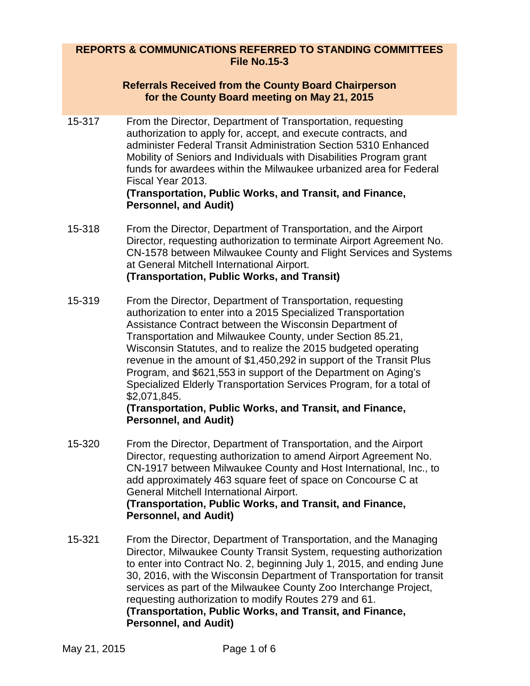## **REPORTS & COMMUNICATIONS REFERRED TO STANDING COMMITTEES File No.15-3**

## **Referrals Received from the County Board Chairperson for the County Board meeting on May 21, 2015**

15-317 From the Director, Department of Transportation, requesting authorization to apply for, accept, and execute contracts, and administer Federal Transit Administration Section 5310 Enhanced Mobility of Seniors and Individuals with Disabilities Program grant funds for awardees within the Milwaukee urbanized area for Federal Fiscal Year 2013.

#### **(Transportation, Public Works, and Transit, and Finance, Personnel, and Audit)**

- 15-318 From the Director, Department of Transportation, and the Airport Director, requesting authorization to terminate Airport Agreement No. CN-1578 between Milwaukee County and Flight Services and Systems at General Mitchell International Airport. **(Transportation, Public Works, and Transit)**
- 15-319 From the Director, Department of Transportation, requesting authorization to enter into a 2015 Specialized Transportation Assistance Contract between the Wisconsin Department of Transportation and Milwaukee County, under Section 85.21, Wisconsin Statutes, and to realize the 2015 budgeted operating revenue in the amount of \$1,450,292 in support of the Transit Plus Program, and \$621,553 in support of the Department on Aging's Specialized Elderly Transportation Services Program, for a total of \$2,071,845.

## **(Transportation, Public Works, and Transit, and Finance, Personnel, and Audit)**

- 15-320 From the Director, Department of Transportation, and the Airport Director, requesting authorization to amend Airport Agreement No. CN-1917 between Milwaukee County and Host International, Inc., to add approximately 463 square feet of space on Concourse C at General Mitchell International Airport. **(Transportation, Public Works, and Transit, and Finance, Personnel, and Audit)**
- 15-321 From the Director, Department of Transportation, and the Managing Director, Milwaukee County Transit System, requesting authorization to enter into Contract No. 2, beginning July 1, 2015, and ending June 30, 2016, with the Wisconsin Department of Transportation for transit services as part of the Milwaukee County Zoo Interchange Project, requesting authorization to modify Routes 279 and 61. **(Transportation, Public Works, and Transit, and Finance, Personnel, and Audit)**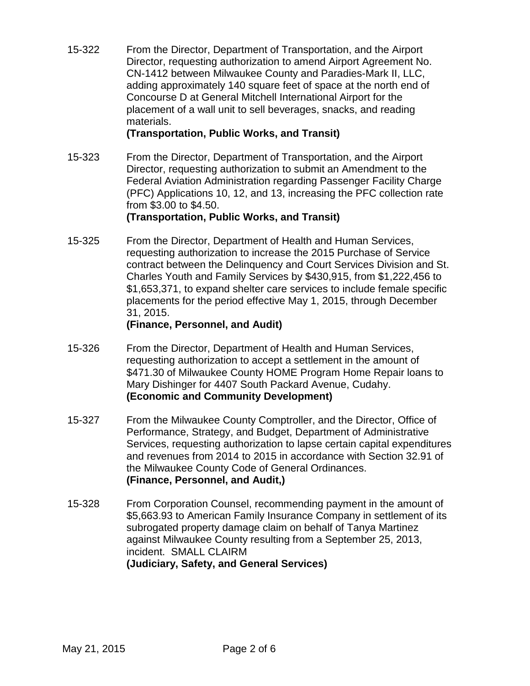15-322 From the Director, Department of Transportation, and the Airport Director, requesting authorization to amend Airport Agreement No. CN-1412 between Milwaukee County and Paradies-Mark II, LLC, adding approximately 140 square feet of space at the north end of Concourse D at General Mitchell International Airport for the placement of a wall unit to sell beverages, snacks, and reading materials.

## **(Transportation, Public Works, and Transit)**

15-323 From the Director, Department of Transportation, and the Airport Director, requesting authorization to submit an Amendment to the Federal Aviation Administration regarding Passenger Facility Charge (PFC) Applications 10, 12, and 13, increasing the PFC collection rate from \$3.00 to \$4.50.

# **(Transportation, Public Works, and Transit)**

15-325 From the Director, Department of Health and Human Services, requesting authorization to increase the 2015 Purchase of Service contract between the Delinquency and Court Services Division and St. Charles Youth and Family Services by \$430,915, from \$1,222,456 to \$1,653,371, to expand shelter care services to include female specific placements for the period effective May 1, 2015, through December 31, 2015.

## **(Finance, Personnel, and Audit)**

- 15-326 From the Director, Department of Health and Human Services, requesting authorization to accept a settlement in the amount of \$471.30 of Milwaukee County HOME Program Home Repair loans to Mary Dishinger for 4407 South Packard Avenue, Cudahy. **(Economic and Community Development)**
- 15-327 From the Milwaukee County Comptroller, and the Director, Office of Performance, Strategy, and Budget, Department of Administrative Services, requesting authorization to lapse certain capital expenditures and revenues from 2014 to 2015 in accordance with Section 32.91 of the Milwaukee County Code of General Ordinances. **(Finance, Personnel, and Audit,)**
- 15-328 From Corporation Counsel, recommending payment in the amount of \$5,663.93 to American Family Insurance Company in settlement of its subrogated property damage claim on behalf of Tanya Martinez against Milwaukee County resulting from a September 25, 2013, incident. SMALL CLAIRM **(Judiciary, Safety, and General Services)**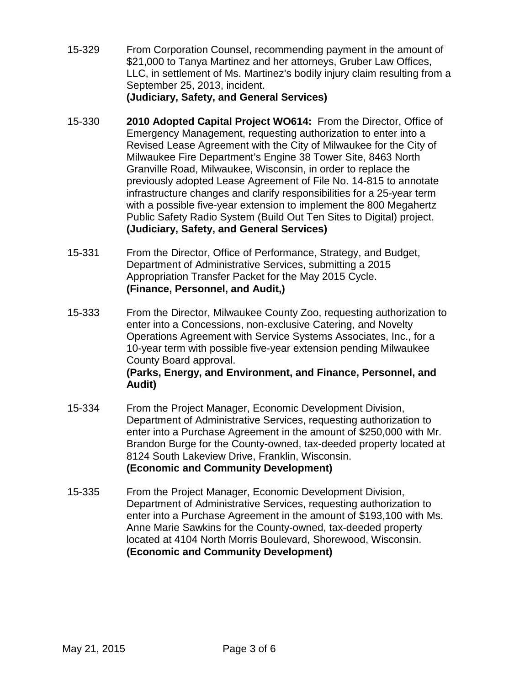- 15-329 From Corporation Counsel, recommending payment in the amount of \$21,000 to Tanya Martinez and her attorneys, Gruber Law Offices, LLC, in settlement of Ms. Martinez's bodily injury claim resulting from a September 25, 2013, incident. **(Judiciary, Safety, and General Services)**
- 15-330 **2010 Adopted Capital Project WO614:** From the Director, Office of Emergency Management, requesting authorization to enter into a Revised Lease Agreement with the City of Milwaukee for the City of Milwaukee Fire Department's Engine 38 Tower Site, 8463 North Granville Road, Milwaukee, Wisconsin, in order to replace the previously adopted Lease Agreement of File No. 14-815 to annotate infrastructure changes and clarify responsibilities for a 25-year term with a possible five-year extension to implement the 800 Megahertz Public Safety Radio System (Build Out Ten Sites to Digital) project. **(Judiciary, Safety, and General Services)**
- 15-331 From the Director, Office of Performance, Strategy, and Budget, Department of Administrative Services, submitting a 2015 Appropriation Transfer Packet for the May 2015 Cycle. **(Finance, Personnel, and Audit,)**
- 15-333 From the Director, Milwaukee County Zoo, requesting authorization to enter into a Concessions, non-exclusive Catering, and Novelty Operations Agreement with Service Systems Associates, Inc., for a 10-year term with possible five-year extension pending Milwaukee County Board approval.

## **(Parks, Energy, and Environment, and Finance, Personnel, and Audit)**

- 15-334 From the Project Manager, Economic Development Division, Department of Administrative Services, requesting authorization to enter into a Purchase Agreement in the amount of \$250,000 with Mr. Brandon Burge for the County-owned, tax-deeded property located at 8124 South Lakeview Drive, Franklin, Wisconsin. **(Economic and Community Development)**
- 15-335 From the Project Manager, Economic Development Division, Department of Administrative Services, requesting authorization to enter into a Purchase Agreement in the amount of \$193,100 with Ms. Anne Marie Sawkins for the County-owned, tax-deeded property located at 4104 North Morris Boulevard, Shorewood, Wisconsin. **(Economic and Community Development)**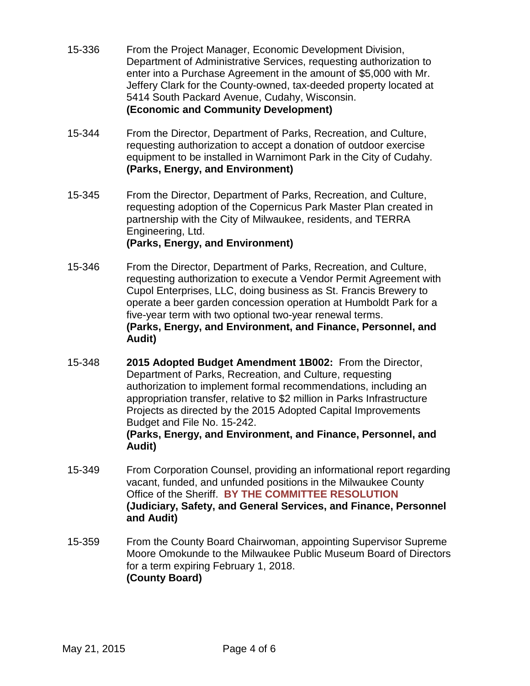- 15-336 From the Project Manager, Economic Development Division, Department of Administrative Services, requesting authorization to enter into a Purchase Agreement in the amount of \$5,000 with Mr. Jeffery Clark for the County-owned, tax-deeded property located at 5414 South Packard Avenue, Cudahy, Wisconsin. **(Economic and Community Development)**
- 15-344 From the Director, Department of Parks, Recreation, and Culture, requesting authorization to accept a donation of outdoor exercise equipment to be installed in Warnimont Park in the City of Cudahy. **(Parks, Energy, and Environment)**
- 15-345 From the Director, Department of Parks, Recreation, and Culture, requesting adoption of the Copernicus Park Master Plan created in partnership with the City of Milwaukee, residents, and TERRA Engineering, Ltd.

# **(Parks, Energy, and Environment)**

- 15-346 From the Director, Department of Parks, Recreation, and Culture, requesting authorization to execute a Vendor Permit Agreement with Cupol Enterprises, LLC, doing business as St. Francis Brewery to operate a beer garden concession operation at Humboldt Park for a five-year term with two optional two-year renewal terms. **(Parks, Energy, and Environment, and Finance, Personnel, and Audit)**
- 15-348 **2015 Adopted Budget Amendment 1B002:** From the Director, Department of Parks, Recreation, and Culture, requesting authorization to implement formal recommendations, including an appropriation transfer, relative to \$2 million in Parks Infrastructure Projects as directed by the 2015 Adopted Capital Improvements Budget and File No. 15-242. **(Parks, Energy, and Environment, and Finance, Personnel, and Audit)**
- 15-349 From Corporation Counsel, providing an informational report regarding vacant, funded, and unfunded positions in the Milwaukee County Office of the Sheriff. **BY THE COMMITTEE RESOLUTION (Judiciary, Safety, and General Services, and Finance, Personnel and Audit)**
- 15-359 From the County Board Chairwoman, appointing Supervisor Supreme Moore Omokunde to the Milwaukee Public Museum Board of Directors for a term expiring February 1, 2018. **(County Board)**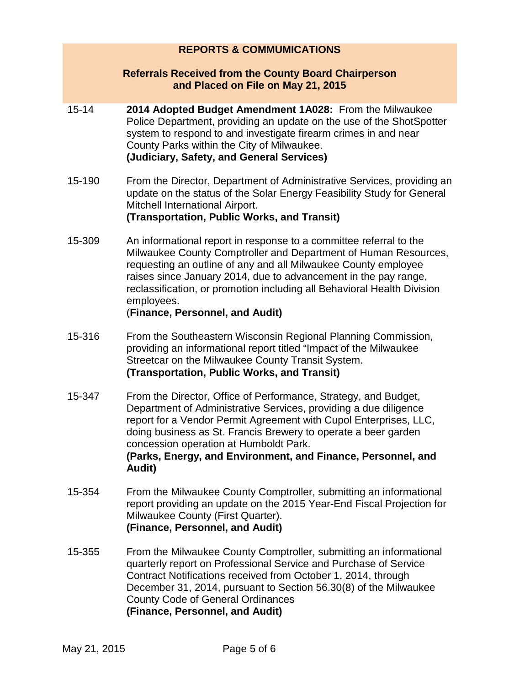## **REPORTS & COMMUMICATIONS**

#### **Referrals Received from the County Board Chairperson and Placed on File on May 21, 2015**

- 15-14 **2014 Adopted Budget Amendment 1A028:** From the Milwaukee Police Department, providing an update on the use of the ShotSpotter system to respond to and investigate firearm crimes in and near County Parks within the City of Milwaukee. **(Judiciary, Safety, and General Services)**
- 15-190 From the Director, Department of Administrative Services, providing an update on the status of the Solar Energy Feasibility Study for General Mitchell International Airport. **(Transportation, Public Works, and Transit)**
- 15-309 An informational report in response to a committee referral to the Milwaukee County Comptroller and Department of Human Resources, requesting an outline of any and all Milwaukee County employee raises since January 2014, due to advancement in the pay range, reclassification, or promotion including all Behavioral Health Division employees.

#### (**Finance, Personnel, and Audit)**

- 15-316 From the Southeastern Wisconsin Regional Planning Commission, providing an informational report titled "Impact of the Milwaukee Streetcar on the Milwaukee County Transit System. **(Transportation, Public Works, and Transit)**
- 15-347 From the Director, Office of Performance, Strategy, and Budget, Department of Administrative Services, providing a due diligence report for a Vendor Permit Agreement with Cupol Enterprises, LLC, doing business as St. Francis Brewery to operate a beer garden concession operation at Humboldt Park. **(Parks, Energy, and Environment, and Finance, Personnel, and Audit)**
- 15-354 From the Milwaukee County Comptroller, submitting an informational report providing an update on the 2015 Year-End Fiscal Projection for Milwaukee County (First Quarter). **(Finance, Personnel, and Audit)**
- 15-355 From the Milwaukee County Comptroller, submitting an informational quarterly report on Professional Service and Purchase of Service Contract Notifications received from October 1, 2014, through December 31, 2014, pursuant to Section 56.30(8) of the Milwaukee County Code of General Ordinances **(Finance, Personnel, and Audit)**